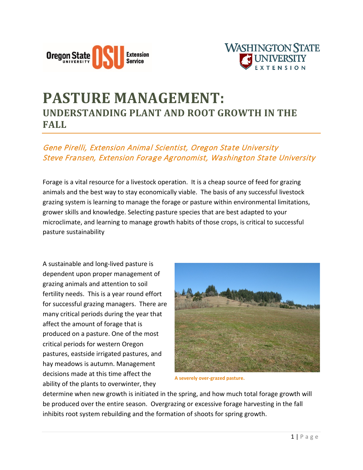



## **PASTURE MANAGEMENT: UNDERSTANDING PLANT AND ROOT GROWTH IN THE FALL**

## Gene Pirelli, Extension Animal Scientist, Oregon State University Steve Fransen, Extension Forage Agronomist, Washington State University

Forage is a vital resource for a livestock operation. It is a cheap source of feed for grazing animals and the best way to stay economically viable. The basis of any successful livestock grazing system is learning to manage the forage or pasture within environmental limitations, grower skills and knowledge. Selecting pasture species that are best adapted to your microclimate, and learning to manage growth habits of those crops, is critical to successful pasture sustainability

A sustainable and long-lived pasture is dependent upon proper management of grazing animals and attention to soil fertility needs. This is a year round effort for successful grazing managers. There are many critical periods during the year that affect the amount of forage that is produced on a pasture. One of the most critical periods for western Oregon pastures, eastside irrigated pastures, and hay meadows is autumn. Management decisions made at this time affect the ability of the plants to overwinter, they



**A severely over-grazed pasture.**

determine when new growth is initiated in the spring, and how much total forage growth will be produced over the entire season. Overgrazing or excessive forage harvesting in the fall inhibits root system rebuilding and the formation of shoots for spring growth.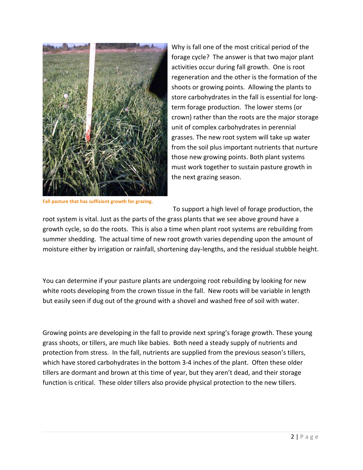

**Fall pasture that has sufficient growth for grazing.**

Why is fall one of the most critical period of the forage cycle? The answer is that two major plant activities occur during fall growth. One is root regeneration and the other is the formation of the shoots or growing points. Allowing the plants to store carbohydrates in the fall is essential for longterm forage production. The lower stems (or crown) rather than the roots are the major storage unit of complex carbohydrates in perennial grasses. The new root system will take up water from the soil plus important nutrients that nurture those new growing points. Both plant systems must work together to sustain pasture growth in the next grazing season.

To support a high level of forage production, the

root system is vital. Just as the parts of the grass plants that we see above ground have a growth cycle, so do the roots. This is also a time when plant root systems are rebuilding from summer shedding. The actual time of new root growth varies depending upon the amount of moisture either by irrigation or rainfall, shortening day-lengths, and the residual stubble height.

You can determine if your pasture plants are undergoing root rebuilding by looking for new white roots developing from the crown tissue in the fall. New roots will be variable in length but easily seen if dug out of the ground with a shovel and washed free of soil with water.

Growing points are developing in the fall to provide next spring's forage growth. These young grass shoots, or tillers, are much like babies. Both need a steady supply of nutrients and protection from stress. In the fall, nutrients are supplied from the previous season's tillers, which have stored carbohydrates in the bottom 3-4 inches of the plant. Often these older tillers are dormant and brown at this time of year, but they aren't dead, and their storage function is critical. These older tillers also provide physical protection to the new tillers.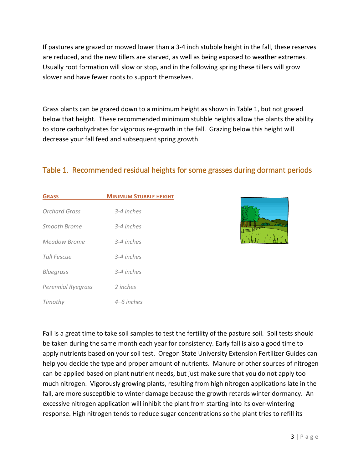If pastures are grazed or mowed lower than a 3-4 inch stubble height in the fall, these reserves are reduced, and the new tillers are starved, as well as being exposed to weather extremes. Usually root formation will slow or stop, and in the following spring these tillers will grow slower and have fewer roots to support themselves.

Grass plants can be grazed down to a minimum height as shown in Table 1, but not grazed below that height. These recommended minimum stubble heights allow the plants the ability to store carbohydrates for vigorous re-growth in the fall. Grazing below this height will decrease your fall feed and subsequent spring growth.

| <b>GRASS</b>              | <b>MINIMUM STUBBLE HEIGHT</b> |
|---------------------------|-------------------------------|
| Orchard Grass             | 3-4 inches                    |
| Smooth Brome              | 3-4 inches                    |
| Meadow Brome              | 3-4 inches                    |
| Tall Fescue               | 3-4 inches                    |
| <b>Bluegrass</b>          | 3-4 inches                    |
| <b>Perennial Ryegrass</b> | 2 inches                      |
|                           | 4–6 inches                    |
| Timothy                   |                               |

## Table 1. Recommended residual heights for some grasses during dormant periods



Fall is a great time to take soil samples to test the fertility of the pasture soil. Soil tests should be taken during the same month each year for consistency. Early fall is also a good time to apply nutrients based on your soil test. Oregon State University Extension Fertilizer Guides can help you decide the type and proper amount of nutrients. Manure or other sources of nitrogen can be applied based on plant nutrient needs, but just make sure that you do not apply too much nitrogen. Vigorously growing plants, resulting from high nitrogen applications late in the fall, are more susceptible to winter damage because the growth retards winter dormancy. An excessive nitrogen application will inhibit the plant from starting into its over-wintering response. High nitrogen tends to reduce sugar concentrations so the plant tries to refill its